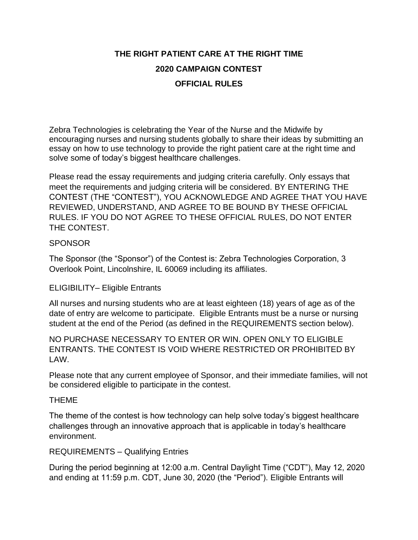# **THE RIGHT PATIENT CARE AT THE RIGHT TIME 2020 CAMPAIGN CONTEST OFFICIAL RULES**

Zebra Technologies is celebrating the Year of the Nurse and the Midwife by encouraging nurses and nursing students globally to share their ideas by submitting an essay on how to use technology to provide the right patient care at the right time and solve some of today's biggest healthcare challenges.

Please read the essay requirements and judging criteria carefully. Only essays that meet the requirements and judging criteria will be considered. BY ENTERING THE CONTEST (THE "CONTEST"), YOU ACKNOWLEDGE AND AGREE THAT YOU HAVE REVIEWED, UNDERSTAND, AND AGREE TO BE BOUND BY THESE OFFICIAL RULES. IF YOU DO NOT AGREE TO THESE OFFICIAL RULES, DO NOT ENTER THE CONTEST.

## **SPONSOR**

The Sponsor (the "Sponsor") of the Contest is: Zebra Technologies Corporation, 3 Overlook Point, Lincolnshire, IL 60069 including its affiliates.

## ELIGIBILITY– Eligible Entrants

All nurses and nursing students who are at least eighteen (18) years of age as of the date of entry are welcome to participate. Eligible Entrants must be a nurse or nursing student at the end of the Period (as defined in the REQUIREMENTS section below).

NO PURCHASE NECESSARY TO ENTER OR WIN. OPEN ONLY TO ELIGIBLE ENTRANTS. THE CONTEST IS VOID WHERE RESTRICTED OR PROHIBITED BY LAW.

Please note that any current employee of Sponsor, and their immediate families, will not be considered eligible to participate in the contest.

#### THEME

The theme of the contest is how technology can help solve today's biggest healthcare challenges through an innovative approach that is applicable in today's healthcare environment.

#### REQUIREMENTS – Qualifying Entries

During the period beginning at 12:00 a.m. Central Daylight Time ("CDT"), May 12, 2020 and ending at 11:59 p.m. CDT, June 30, 2020 (the "Period"). Eligible Entrants will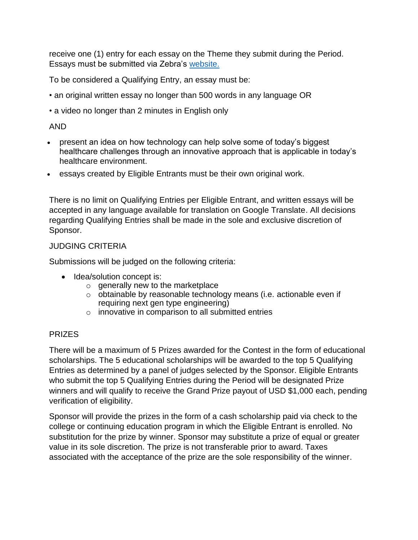receive one (1) entry for each essay on the Theme they submit during the Period. Essays must be submitted via Zebra's [website.](https://connect.zebra.com/year-of-the-nurse)

To be considered a Qualifying Entry, an essay must be:

- an original written essay no longer than 500 words in any language OR
- a video no longer than 2 minutes in English only

# AND

- present an idea on how technology can help solve some of today's biggest healthcare challenges through an innovative approach that is applicable in today's healthcare environment.
- essays created by Eligible Entrants must be their own original work.

There is no limit on Qualifying Entries per Eligible Entrant, and written essays will be accepted in any language available for translation on Google Translate. All decisions regarding Qualifying Entries shall be made in the sole and exclusive discretion of Sponsor.

## JUDGING CRITERIA

Submissions will be judged on the following criteria:

- Idea/solution concept is:
	- $\circ$  generally new to the marketplace
	- o obtainable by reasonable technology means (i.e. actionable even if requiring next gen type engineering)
	- o innovative in comparison to all submitted entries

## PRIZES

There will be a maximum of 5 Prizes awarded for the Contest in the form of educational scholarships. The 5 educational scholarships will be awarded to the top 5 Qualifying Entries as determined by a panel of judges selected by the Sponsor. Eligible Entrants who submit the top 5 Qualifying Entries during the Period will be designated Prize winners and will qualify to receive the Grand Prize payout of USD \$1,000 each, pending verification of eligibility.

Sponsor will provide the prizes in the form of a cash scholarship paid via check to the college or continuing education program in which the Eligible Entrant is enrolled. No substitution for the prize by winner. Sponsor may substitute a prize of equal or greater value in its sole discretion. The prize is not transferable prior to award. Taxes associated with the acceptance of the prize are the sole responsibility of the winner.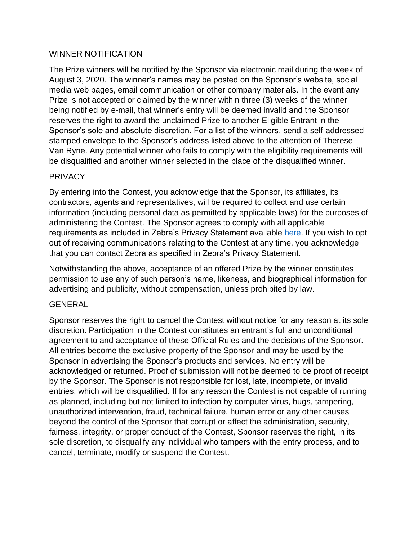#### WINNER NOTIFICATION

The Prize winners will be notified by the Sponsor via electronic mail during the week of August 3, 2020. The winner's names may be posted on the Sponsor's website, social media web pages, email communication or other company materials. In the event any Prize is not accepted or claimed by the winner within three (3) weeks of the winner being notified by e-mail, that winner's entry will be deemed invalid and the Sponsor reserves the right to award the unclaimed Prize to another Eligible Entrant in the Sponsor's sole and absolute discretion. For a list of the winners, send a self-addressed stamped envelope to the Sponsor's address listed above to the attention of Therese Van Ryne. Any potential winner who fails to comply with the eligibility requirements will be disqualified and another winner selected in the place of the disqualified winner.

## PRIVACY

By entering into the Contest, you acknowledge that the Sponsor, its affiliates, its contractors, agents and representatives, will be required to collect and use certain information (including personal data as permitted by applicable laws) for the purposes of administering the Contest. The Sponsor agrees to comply with all applicable requirements as included in Zebra's Privacy Statement available [here.](https://www.zebra.com/us/en/about-zebra/company-information/legal/privacy-statement.html) If you wish to opt out of receiving communications relating to the Contest at any time, you acknowledge that you can contact Zebra as specified in Zebra's Privacy Statement.

Notwithstanding the above, acceptance of an offered Prize by the winner constitutes permission to use any of such person's name, likeness, and biographical information for advertising and publicity, without compensation, unless prohibited by law.

#### GENERAL

Sponsor reserves the right to cancel the Contest without notice for any reason at its sole discretion. Participation in the Contest constitutes an entrant's full and unconditional agreement to and acceptance of these Official Rules and the decisions of the Sponsor. All entries become the exclusive property of the Sponsor and may be used by the Sponsor in advertising the Sponsor's products and services. No entry will be acknowledged or returned. Proof of submission will not be deemed to be proof of receipt by the Sponsor. The Sponsor is not responsible for lost, late, incomplete, or invalid entries, which will be disqualified. If for any reason the Contest is not capable of running as planned, including but not limited to infection by computer virus, bugs, tampering, unauthorized intervention, fraud, technical failure, human error or any other causes beyond the control of the Sponsor that corrupt or affect the administration, security, fairness, integrity, or proper conduct of the Contest, Sponsor reserves the right, in its sole discretion, to disqualify any individual who tampers with the entry process, and to cancel, terminate, modify or suspend the Contest.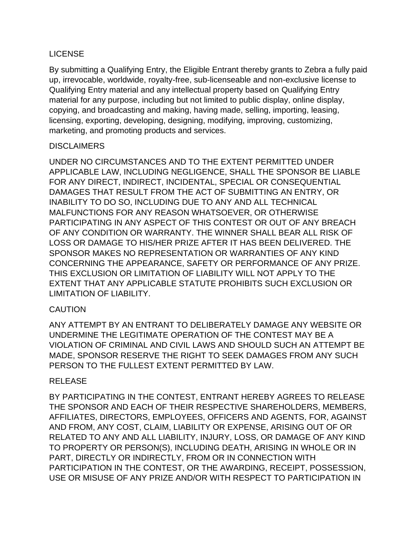## LICENSE

By submitting a Qualifying Entry, the Eligible Entrant thereby grants to Zebra a fully paid up, irrevocable, worldwide, royalty-free, sub-licenseable and non-exclusive license to Qualifying Entry material and any intellectual property based on Qualifying Entry material for any purpose, including but not limited to public display, online display, copying, and broadcasting and making, having made, selling, importing, leasing, licensing, exporting, developing, designing, modifying, improving, customizing, marketing, and promoting products and services.

## **DISCLAIMERS**

UNDER NO CIRCUMSTANCES AND TO THE EXTENT PERMITTED UNDER APPLICABLE LAW, INCLUDING NEGLIGENCE, SHALL THE SPONSOR BE LIABLE FOR ANY DIRECT, INDIRECT, INCIDENTAL, SPECIAL OR CONSEQUENTIAL DAMAGES THAT RESULT FROM THE ACT OF SUBMITTING AN ENTRY, OR INABILITY TO DO SO, INCLUDING DUE TO ANY AND ALL TECHNICAL MALFUNCTIONS FOR ANY REASON WHATSOEVER, OR OTHERWISE PARTICIPATING IN ANY ASPECT OF THIS CONTEST OR OUT OF ANY BREACH OF ANY CONDITION OR WARRANTY. THE WINNER SHALL BEAR ALL RISK OF LOSS OR DAMAGE TO HIS/HER PRIZE AFTER IT HAS BEEN DELIVERED. THE SPONSOR MAKES NO REPRESENTATION OR WARRANTIES OF ANY KIND CONCERNING THE APPEARANCE, SAFETY OR PERFORMANCE OF ANY PRIZE. THIS EXCLUSION OR LIMITATION OF LIABILITY WILL NOT APPLY TO THE EXTENT THAT ANY APPLICABLE STATUTE PROHIBITS SUCH EXCLUSION OR LIMITATION OF LIABILITY.

## **CAUTION**

ANY ATTEMPT BY AN ENTRANT TO DELIBERATELY DAMAGE ANY WEBSITE OR UNDERMINE THE LEGITIMATE OPERATION OF THE CONTEST MAY BE A VIOLATION OF CRIMINAL AND CIVIL LAWS AND SHOULD SUCH AN ATTEMPT BE MADE, SPONSOR RESERVE THE RIGHT TO SEEK DAMAGES FROM ANY SUCH PERSON TO THE FULLEST EXTENT PERMITTED BY LAW.

#### RELEASE

BY PARTICIPATING IN THE CONTEST, ENTRANT HEREBY AGREES TO RELEASE THE SPONSOR AND EACH OF THEIR RESPECTIVE SHAREHOLDERS, MEMBERS, AFFILIATES, DIRECTORS, EMPLOYEES, OFFICERS AND AGENTS, FOR, AGAINST AND FROM, ANY COST, CLAIM, LIABILITY OR EXPENSE, ARISING OUT OF OR RELATED TO ANY AND ALL LIABILITY, INJURY, LOSS, OR DAMAGE OF ANY KIND TO PROPERTY OR PERSON(S), INCLUDING DEATH, ARISING IN WHOLE OR IN PART, DIRECTLY OR INDIRECTLY, FROM OR IN CONNECTION WITH PARTICIPATION IN THE CONTEST, OR THE AWARDING, RECEIPT, POSSESSION, USE OR MISUSE OF ANY PRIZE AND/OR WITH RESPECT TO PARTICIPATION IN